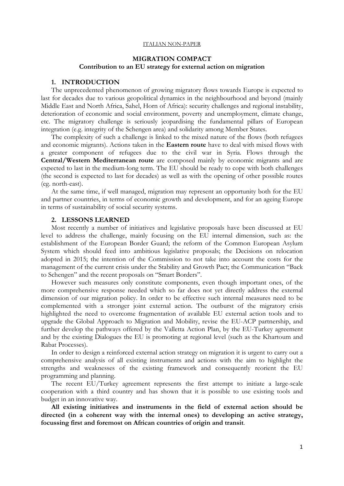#### ITALIAN NON-PAPER

# **MIGRATION COMPACT Contribution to an EU strategy for external action on migration**

### **1. INTRODUCTION**

The unprecedented phenomenon of growing migratory flows towards Europe is expected to last for decades due to various geopolitical dynamics in the neighbourhood and beyond (mainly Middle East and North Africa, Sahel, Horn of Africa): security challenges and regional instability, deterioration of economic and social environment, poverty and unemployment, climate change, etc. The migratory challenge is seriously jeopardising the fundamental pillars of European integration (e.g. integrity of the Schengen area) and solidarity among Member States.

The complexity of such a challenge is linked to the mixed nature of the flows (both refugees and economic migrants). Actions taken in the **Eastern route** have to deal with mixed flows with a greater component of refugees due to the civil war in Syria. Flows through the **Central/Western Mediterranean route** are composed mainly by economic migrants and are expected to last in the medium-long term. The EU should be ready to cope with both challenges (the second is expected to last for decades) as well as with the opening of other possible routes (eg. north-east).

At the same time, if well managed, migration may represent an opportunity both for the EU and partner countries, in terms of economic growth and development, and for an ageing Europe in terms of sustainability of social security systems.

#### **2. LESSONS LEARNED**

Most recently a number of initiatives and legislative proposals have been discussed at EU level to address the challenge, mainly focusing on the EU internal dimension, such as: the establishment of the European Border Guard; the reform of the Common European Asylum System which should feed into ambitious legislative proposals; the Decisions on relocation adopted in 2015; the intention of the Commission to not take into account the costs for the management of the current crisis under the Stability and Growth Pact; the Communication "Back to Schengen" and the recent proposals on "Smart Borders".

However such measures only constitute components, even though important ones, of the more comprehensive response needed which so far does not yet directly address the external dimension of our migration policy. In order to be effective such internal measures need to be complemented with a stronger joint external action. The outburst of the migratory crisis highlighted the need to overcome fragmentation of available EU external action tools and to upgrade the Global Approach to Migration and Mobility, revise the EU-ACP partnership, and further develop the pathways offered by the Valletta Action Plan, by the EU-Turkey agreement and by the existing Dialogues the EU is promoting at regional level (such as the Khartoum and Rabat Processes).

In order to design a reinforced external action strategy on migration it is urgent to carry out a comprehensive analysis of all existing instruments and actions with the aim to highlight the strengths and weaknesses of the existing framework and consequently reorient the EU programming and planning.

The recent EU/Turkey agreement represents the first attempt to initiate a large-scale cooperation with a third country and has shown that it is possible to use existing tools and budget in an innovative way.

**All existing initiatives and instruments in the field of external action should be directed (in a coherent way with the internal ones) to developing an active strategy, focussing first and foremost on African countries of origin and transit**.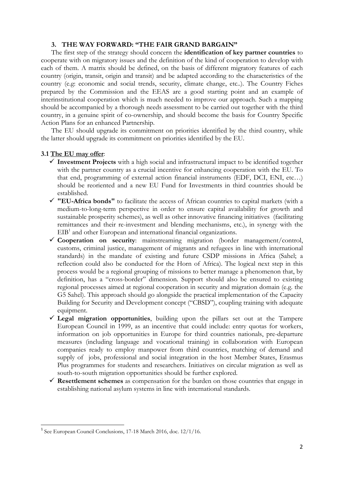## **3. THE WAY FORWARD: "THE FAIR GRAND BARGAIN"**

The first step of the strategy should concern the **identification of key partner countries** to cooperate with on migratory issues and the definition of the kind of cooperation to develop with each of them. A matrix should be defined, on the basis of different migratory features of each country (origin, transit, origin and transit) and be adapted according to the characteristics of the country (e.g: economic and social trends, security, climate change, etc..). The Country Fiches prepared by the Commission and the EEAS are a good starting point and an example of interinstitutional cooperation which is much needed to improve our approach. Such a mapping should be accompanied by a thorough needs assessment to be carried out together with the third country, in a genuine spirit of co-ownership, and should become the basis for Country Specific Action Plans for an enhanced Partnership.

The EU should upgrade its commitment on priorities identified by the third country, while the latter should upgrade its commitment on priorities identified by the EU.

### **3.1 The EU may offer**:

- **Investment Projects** with a high social and infrastructural impact to be identified together with the partner country as a crucial incentive for enhancing cooperation with the EU. To that end, programming of external action financial instruments (EDF, DCI, ENI, etc…) should be reoriented and a new EU Fund for Investments in third countries should be established.
- **"EU-Africa bonds"** to facilitate the access of African countries to capital markets (with a medium-to-long-term perspective in order to ensure capital availability for growth and sustainable prosperity schemes), as well as other innovative financing initiatives (facilitating remittances and their re-investment and blending mechanisms, etc.), in synergy with the  $EIB<sup>1</sup>$  and other European and international financial organizations.
- **Cooperation on security**: mainstreaming migration (border management/control, customs, criminal justice, management of migrants and refugees in line with international standards) in the mandate of existing and future CSDP missions in Africa (Sahel; a reflection could also be conducted for the Horn of Africa). The logical next step in this process would be a regional grouping of missions to better manage a phenomenon that, by definition, has a "cross-border" dimension. Support should also be ensured to existing regional processes aimed at regional cooperation in security and migration domain (e.g. the G5 Sahel). This approach should go alongside the practical implementation of the Capacity Building for Security and Development concept ("CBSD"), coupling training with adequate equipment.
- **Legal migration opportunities**, building upon the pillars set out at the Tampere European Council in 1999, as an incentive that could include: entry quotas for workers, information on job opportunities in Europe for third countries nationals, pre-departure measures (including language and vocational training) in collaboration with European companies ready to employ manpower from third countries, matching of demand and supply of jobs, professional and social integration in the host Member States, Erasmus Plus programmes for students and researchers. Initiatives on circular migration as well as south-to-south migration opportunities should be further explored.
- **Resettlement schemes** as compensation for the burden on those countries that engage in establishing national asylum systems in line with international standards.

<sup>&</sup>lt;sup>1</sup> See European Council Conclusions, 17-18 March 2016, doc. 12/1/16.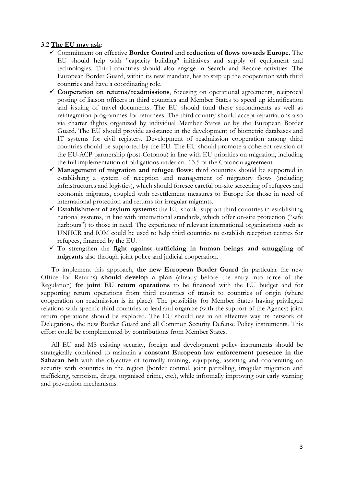## **3.2 The EU may ask**:

- Commitment on effective **Border Control** and **reduction of flows towards Europe.** The EU should help with "capacity building" initiatives and supply of equipment and technologies. Third countries should also engage in Search and Rescue activities. The European Border Guard, within its new mandate, has to step up the cooperation with third countries and have a coordinating role.
- **Cooperation on returns/readmissions**, focusing on operational agreements, reciprocal posting of liaison officers in third countries and Member States to speed up identification and issuing of travel documents. The EU should fund these secondments as well as reintegration programmes for returnees. The third country should accept repatriations also via charter flights organized by individual Member States or by the European Border Guard. The EU should provide assistance in the development of biometric databases and IT systems for civil registers. Development of readmission cooperation among third countries should be supported by the EU. The EU should promote a coherent revision of the EU-ACP partnership (post-Cotonou) in line with EU priorities on migration, including the full implementation of obligations under art. 13.5 of the Cotonou agreement.
- **Management of migration and refugee flows**: third countries should be supported in establishing a system of reception and management of migratory flows (including infrastructures and logistics), which should foresee careful on-site screening of refugees and economic migrants, coupled with resettlement measures to Europe for those in need of international protection and returns for irregular migrants.
- **Establishment of asylum systems:** the EU should support third countries in establishing national systems, in line with international standards, which offer on-site protection ("safe harbours") to those in need. The experience of relevant international organizations such as UNHCR and IOM could be used to help third countries to establish reception centres for refugees, financed by the EU.
- $\checkmark$  To strengthen the **fight against trafficking in human beings and smuggling of migrants** also through joint police and judicial cooperation.

To implement this approach, **the new European Border Guard** (in particular the new Office for Returns) **should develop a plan** (already before the entry into force of the Regulation) **for joint EU return operations** to be financed with the EU budget and for supporting return operations from third countries of transit to countries of origin (where cooperation on readmission is in place). The possibility for Member States having privileged relations with specific third countries to lead and organize (with the support of the Agency) joint return operations should be explored. The EU should use in an effective way its network of Delegations, the new Border Guard and all Common Security Defense Policy instruments. This effort could be complemented by contributions from Member States.

All EU and MS existing security, foreign and development policy instruments should be strategically combined to maintain a **constant European law enforcement presence in the Saharan belt** with the objective of formally training, equipping, assisting and cooperating on security with countries in the region (border control, joint patrolling, irregular migration and trafficking, terrorism, drugs, organised crime, etc.), while informally improving our early warning and prevention mechanisms.